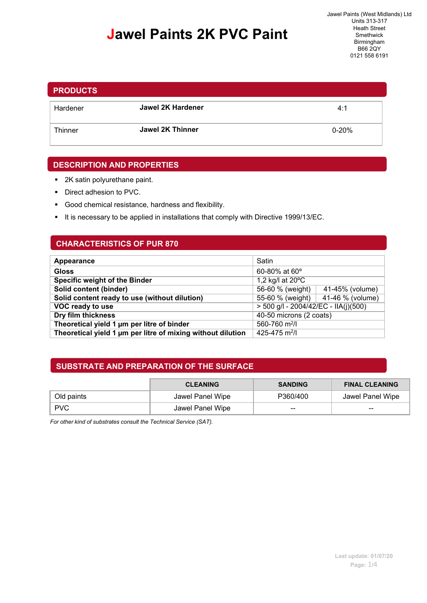## **Jawel Paints 2K PVC Paint**

# Hardener **Jawel 2K Hardener** 4:1 Thinner **Jawel 2K Thinner Constant Construction Construction Construction Construction Construction Construction PRODUCTS**

#### **DESCRIPTION AND PROPERTIES**

- 2K satin polyurethane paint.
- Direct adhesion to PVC.
- Good chemical resistance, hardness and flexibility.
- It is necessary to be applied in installations that comply with Directive 1999/13/EC.

#### **CHARACTERISTICS OF PUR 870**

| Appearance                                                  | Satin                                  |  |  |
|-------------------------------------------------------------|----------------------------------------|--|--|
| Gloss                                                       | $60 - 80\%$ at $60^{\circ}$            |  |  |
| <b>Specific weight of the Binder</b>                        | 1,2 kg/l at 20°C                       |  |  |
| Solid content (binder)                                      | 56-60 % (weight)<br>41-45% (volume)    |  |  |
| Solid content ready to use (without dilution)               | 41-46 % (volume)<br>55-60 % (weight)   |  |  |
| VOC ready to use                                            | $>$ 500 g/l - 2004/42/EC - IIA(j)(500) |  |  |
| Dry film thickness                                          | 40-50 microns (2 coats)                |  |  |
| Theoretical yield 1 um per litre of binder                  | 560-760 m <sup>2</sup> /l              |  |  |
| Theoretical yield 1 µm per litre of mixing without dilution | 425-475 m <sup>2</sup> /l              |  |  |

#### **SUBSTRATE AND PREPARATION OF THE SURFACE**

|            | <b>CLEANING</b>  | <b>SANDING</b> | <b>FINAL CLEANING</b> |
|------------|------------------|----------------|-----------------------|
| Old paints | Jawel Panel Wipe | P360/400       | Jawel Panel Wipe      |
| <b>PVC</b> | Jawel Panel Wipe | $- -$          | $- -$                 |

*For other kind of substrates consult the Technical Service (SAT).*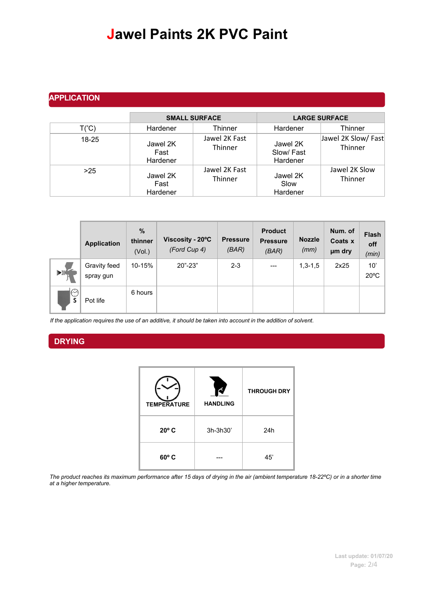### **Jawel Paints 2K PVC Paint**

### **APPLICATION**

|                |                              | <b>SMALL SURFACE</b>     | <b>LARGE SURFACE</b>              |                                |  |
|----------------|------------------------------|--------------------------|-----------------------------------|--------------------------------|--|
| $T(^{\circ}C)$ | Hardener                     | Thinner                  | Hardener                          | Thinner                        |  |
| $18-25$        | Jawel 2K<br>Fast<br>Hardener | Jawel 2K Fast<br>Thinner | Jawel 2K<br>Slow/Fast<br>Hardener | Jawel 2K Slow/ Fast<br>Thinner |  |
| >25            | Jawel 2K<br>Fast<br>Hardener | Jawel 2K Fast<br>Thinner | Jawel 2K<br>Slow<br>Hardener      | Jawel 2K Slow<br>Thinner       |  |

|              | <b>Application</b>        | $\%$<br>thinner<br>(Vol.) | Viscosity - 20°C<br>(Ford Cup 4) | <b>Pressure</b><br>(BAR) | <b>Product</b><br><b>Pressure</b><br>(BAR) | <b>Nozzle</b><br>(mm) | Num. of<br>Coats x<br>µm dry | Flash<br>off<br>(min) |
|--------------|---------------------------|---------------------------|----------------------------------|--------------------------|--------------------------------------------|-----------------------|------------------------------|-----------------------|
| ∢⊪           | Gravity feed<br>spray gun | 10-15%                    | $20" - 23"$                      | $2 - 3$                  | $---$                                      | $1,3-1,5$             | 2x25                         | 10'<br>$20^{\circ}$ C |
| $\odot$<br>S | Pot life                  | 6 hours                   |                                  |                          |                                            |                       |                              |                       |

If the application requires the use of an additive, it should be taken into account in the addition of solvent.

#### **DRYING**

| <b>TEMPERATURE</b> | <b>HANDLING</b> | <b>THROUGH DRY</b> |
|--------------------|-----------------|--------------------|
| $20^{\circ}$ C     | 3h-3h30'        | 24h                |
| $60^{\circ}$ C     |                 | 45'                |

*The product reaches its maximum performance after 15 days of drying in the air (ambient temperature 18-22ºC) or in a shorter time at a higher temperature.*